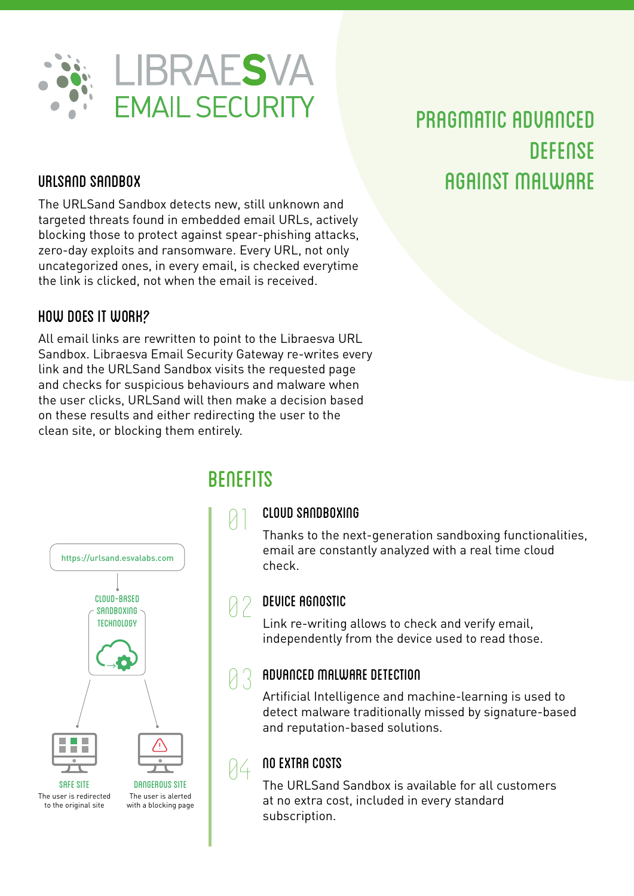

## PRAGMATIC ADVANCED **DEFENSE** URLSAND SANDBOX AGAINST MALWARE

The URLSand Sandbox detects new, still unknown and targeted threats found in embedded email URLs, actively blocking those to protect against spear-phishing attacks, zero-day exploits and ransomware. Every URL, not only uncategorized ones, in every email, is checked everytime the link is clicked, not when the email is received.

#### HOW DOES IT WORK?

All email links are rewritten to point to the Libraesva URL Sandbox. Libraesva Email Security Gateway re-writes every link and the URLSand Sandbox visits the requested page and checks for suspicious behaviours and malware when the user clicks, URLSand will then make a decision based on these results and either redirecting the user to the clean site, or blocking them entirely.



# 01 **BENEFITS**

94

#### CLOUD SANDBOXING

Thanks to the next-generation sandboxing functionalities, email are constantly analyzed with a real time cloud check.

#### DEVICE AGNOSTIC **a**

Link re-writing allows to check and verify email, independently from the device used to read those.

#### ADVANCED MALWARE DETECTION 83

Artificial Intelligence and machine-learning is used to detect malware traditionally missed by signature-based and reputation-based solutions.

#### NO EXTRA COSTS

The URLSand Sandbox is available for all customers at no extra cost, included in every standard subscription.